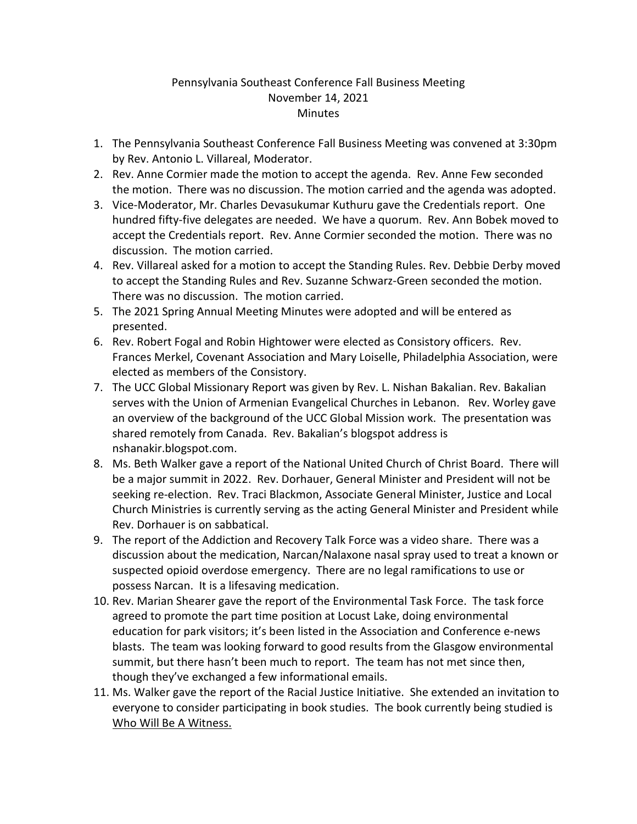## Pennsylvania Southeast Conference Fall Business Meeting November 14, 2021 **Minutes**

- 1. The Pennsylvania Southeast Conference Fall Business Meeting was convened at 3:30pm by Rev. Antonio L. Villareal, Moderator.
- 2. Rev. Anne Cormier made the motion to accept the agenda. Rev. Anne Few seconded the motion. There was no discussion. The motion carried and the agenda was adopted.
- 3. Vice-Moderator, Mr. Charles Devasukumar Kuthuru gave the Credentials report. One hundred fifty-five delegates are needed. We have a quorum. Rev. Ann Bobek moved to accept the Credentials report. Rev. Anne Cormier seconded the motion. There was no discussion. The motion carried.
- 4. Rev. Villareal asked for a motion to accept the Standing Rules. Rev. Debbie Derby moved to accept the Standing Rules and Rev. Suzanne Schwarz-Green seconded the motion. There was no discussion. The motion carried.
- 5. The 2021 Spring Annual Meeting Minutes were adopted and will be entered as presented.
- 6. Rev. Robert Fogal and Robin Hightower were elected as Consistory officers. Rev. Frances Merkel, Covenant Association and Mary Loiselle, Philadelphia Association, were elected as members of the Consistory.
- 7. The UCC Global Missionary Report was given by Rev. L. Nishan Bakalian. Rev. Bakalian serves with the Union of Armenian Evangelical Churches in Lebanon. Rev. Worley gave an overview of the background of the UCC Global Mission work. The presentation was shared remotely from Canada. Rev. Bakalian's blogspot address is nshanakir.blogspot.com.
- 8. Ms. Beth Walker gave a report of the National United Church of Christ Board. There will be a major summit in 2022. Rev. Dorhauer, General Minister and President will not be seeking re-election. Rev. Traci Blackmon, Associate General Minister, Justice and Local Church Ministries is currently serving as the acting General Minister and President while Rev. Dorhauer is on sabbatical.
- 9. The report of the Addiction and Recovery Talk Force was a video share. There was a discussion about the medication, Narcan/Nalaxone nasal spray used to treat a known or suspected opioid overdose emergency. There are no legal ramifications to use or possess Narcan. It is a lifesaving medication.
- 10. Rev. Marian Shearer gave the report of the Environmental Task Force. The task force agreed to promote the part time position at Locust Lake, doing environmental education for park visitors; it's been listed in the Association and Conference e-news blasts. The team was looking forward to good results from the Glasgow environmental summit, but there hasn't been much to report. The team has not met since then, though they've exchanged a few informational emails.
- 11. Ms. Walker gave the report of the Racial Justice Initiative. She extended an invitation to everyone to consider participating in book studies. The book currently being studied is Who Will Be A Witness.